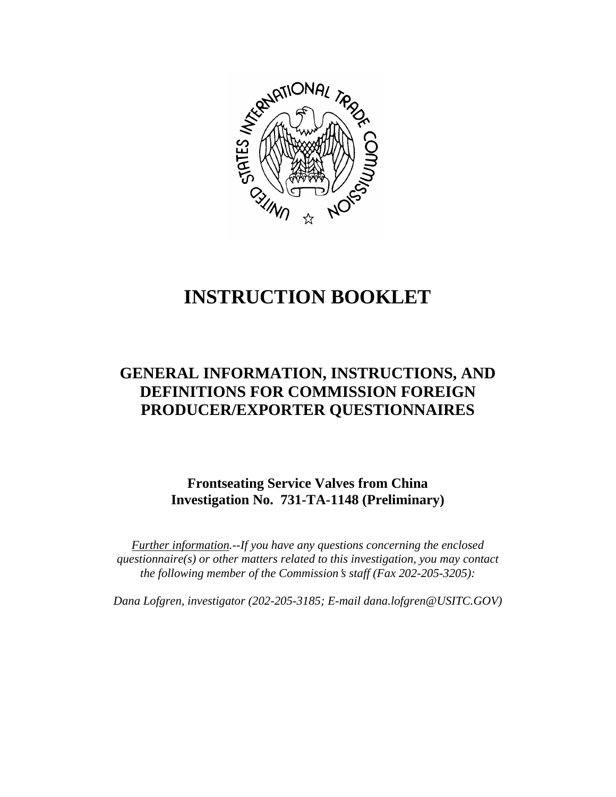

# **INSTRUCTION BOOKLET**

# **GENERAL INFORMATION, INSTRUCTIONS, AND DEFINITIONS FOR COMMISSION FOREIGN PRODUCER/EXPORTER QUESTIONNAIRES**

**Frontseating Service Valves from China Investigation No. 731-TA-1148 (Preliminary)** 

*Further information.--If you have any questions concerning the enclosed questionnaire(s) or other matters related to this investigation, you may contact the following member of the Commission*=*s staff (Fax 202-205-3205):* 

*Dana Lofgren, investigator (202-205-3185; E-mail dana.lofgren@USITC.GOV)*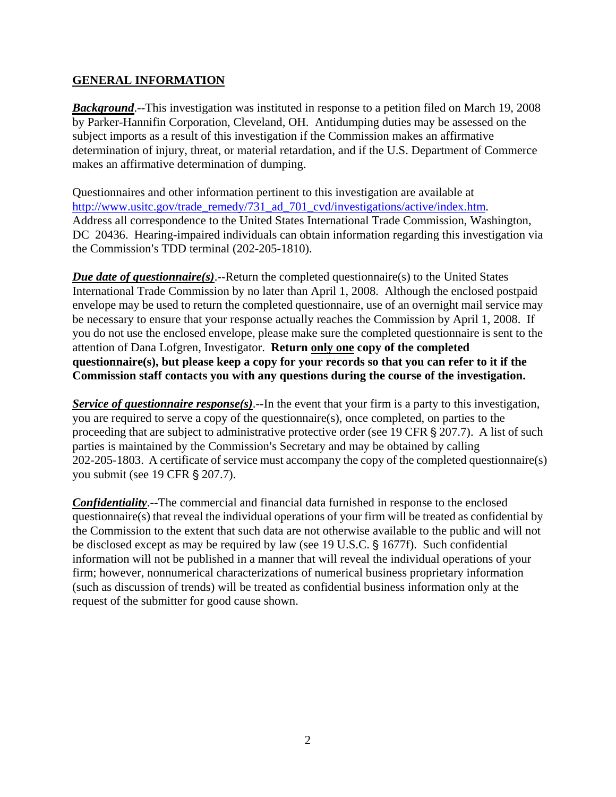## **GENERAL INFORMATION**

*Background*.--This investigation was instituted in response to a petition filed on March 19, 2008 by Parker-Hannifin Corporation, Cleveland, OH. Antidumping duties may be assessed on the subject imports as a result of this investigation if the Commission makes an affirmative determination of injury, threat, or material retardation, and if the U.S. Department of Commerce makes an affirmative determination of dumping.

Questionnaires and other information pertinent to this investigation are available at http://www.usitc.gov/trade\_remedy/731\_ad\_701\_cvd/investigations/active/index.htm. Address all correspondence to the United States International Trade Commission, Washington, DC 20436. Hearing-impaired individuals can obtain information regarding this investigation via the Commission's TDD terminal  $(202-205-1810)$ .

*Due date of questionnaire(s)*.--Return the completed questionnaire(s) to the United States International Trade Commission by no later than April 1, 2008. Although the enclosed postpaid envelope may be used to return the completed questionnaire, use of an overnight mail service may be necessary to ensure that your response actually reaches the Commission by April 1, 2008. If you do not use the enclosed envelope, please make sure the completed questionnaire is sent to the attention of Dana Lofgren, Investigator. **Return only one copy of the completed questionnaire(s), but please keep a copy for your records so that you can refer to it if the Commission staff contacts you with any questions during the course of the investigation.**

*Service of questionnaire response(s)*.--In the event that your firm is a party to this investigation, you are required to serve a copy of the questionnaire(s), once completed, on parties to the proceeding that are subject to administrative protective order (see 19 CFR  $\S 207.7$ ). A list of such parties is maintained by the Commission's Secretary and may be obtained by calling 202-205-1803. A certificate of service must accompany the copy of the completed questionnaire(s) you submit (see 19 CFR § 207.7).

*Confidentiality*.--The commercial and financial data furnished in response to the enclosed questionnaire(s) that reveal the individual operations of your firm will be treated as confidential by the Commission to the extent that such data are not otherwise available to the public and will not be disclosed except as may be required by law (see 19 U.S.C.  $\S$  1677f). Such confidential information will not be published in a manner that will reveal the individual operations of your firm; however, nonnumerical characterizations of numerical business proprietary information (such as discussion of trends) will be treated as confidential business information only at the request of the submitter for good cause shown.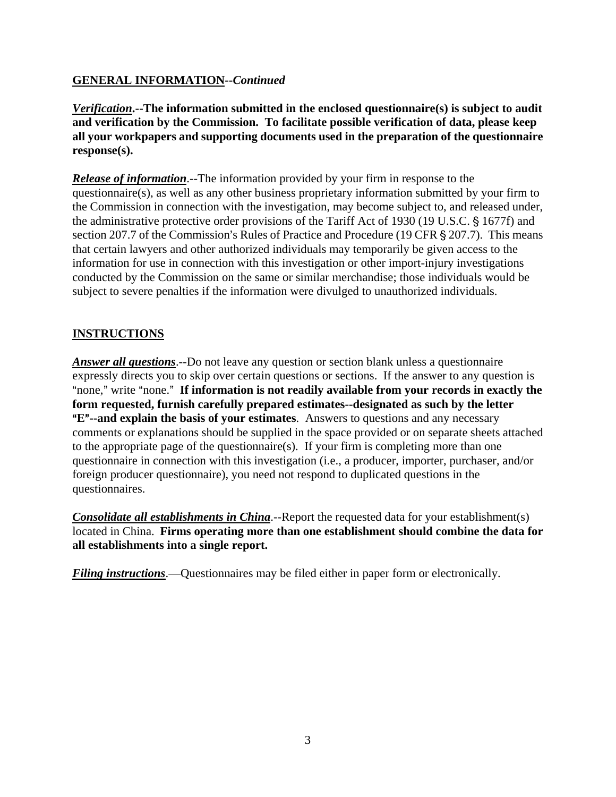# **GENERAL INFORMATION--***Continued*

*Verification***.--The information submitted in the enclosed questionnaire(s) is subject to audit and verification by the Commission. To facilitate possible verification of data, please keep all your workpapers and supporting documents used in the preparation of the questionnaire response(s).**

*Release of information*.--The information provided by your firm in response to the questionnaire(s), as well as any other business proprietary information submitted by your firm to the Commission in connection with the investigation, may become subject to, and released under, the administrative protective order provisions of the Tariff Act of 1930 (19 U.S.C. § 1677f) and section 207.7 of the Commission's Rules of Practice and Procedure (19 CFR § 207.7). This means that certain lawyers and other authorized individuals may temporarily be given access to the information for use in connection with this investigation or other import-injury investigations conducted by the Commission on the same or similar merchandise; those individuals would be subject to severe penalties if the information were divulged to unauthorized individuals.

# **INSTRUCTIONS**

*Answer all questions*.--Do not leave any question or section blank unless a questionnaire expressly directs you to skip over certain questions or sections. If the answer to any question is "none," write "none." If information is not readily available from your records in exactly the **form requested, furnish carefully prepared estimates--designated as such by the letter E<sup>"</sup>--and explain the basis of your estimates**. Answers to questions and any necessary comments or explanations should be supplied in the space provided or on separate sheets attached to the appropriate page of the questionnaire(s). If your firm is completing more than one questionnaire in connection with this investigation (i.e., a producer, importer, purchaser, and/or foreign producer questionnaire), you need not respond to duplicated questions in the questionnaires.

*Consolidate all establishments in China*.--Report the requested data for your establishment(s) located in China. **Firms operating more than one establishment should combine the data for all establishments into a single report.** 

*Filing instructions*.—Questionnaires may be filed either in paper form or electronically.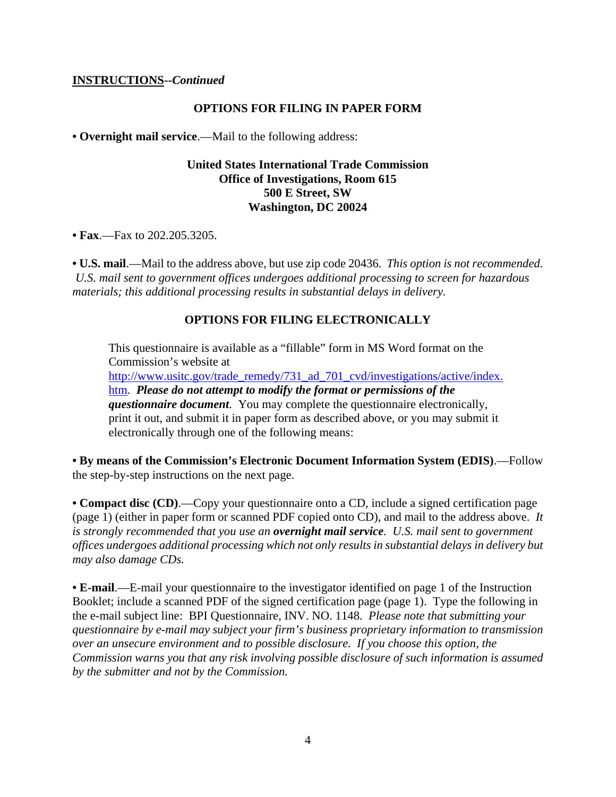#### **INSTRUCTIONS--***Continued*

#### **OPTIONS FOR FILING IN PAPER FORM**

**• Overnight mail service**.—Mail to the following address:

#### **United States International Trade Commission Office of Investigations, Room 615 500 E Street, SW Washington, DC 20024**

• **Fax.**—Fax to 202.205.3205.

**• U.S. mail**.—Mail to the address above, but use zip code 20436. *This option is not recommended. U.S. mail sent to government offices undergoes additional processing to screen for hazardous materials; this additional processing results in substantial delays in delivery.* 

#### **OPTIONS FOR FILING ELECTRONICALLY**

This questionnaire is available as a "fillable" form in MS Word format on the Commission's website at

http://www.usitc.gov/trade\_remedy/731\_ad\_701\_cvd/investigations/active/index. htm. *Please do not attempt to modify the format or permissions of the questionnaire document*. You may complete the questionnaire electronically, print it out, and submit it in paper form as described above, or you may submit it electronically through one of the following means:

**• By means of the Commission's Electronic Document Information System (EDIS)**.—Follow the step-by-step instructions on the next page.

**• Compact disc (CD)**.—Copy your questionnaire onto a CD, include a signed certification page (page 1) (either in paper form or scanned PDF copied onto CD), and mail to the address above. *It is strongly recommended that you use an overnight mail service. U.S. mail sent to government offices undergoes additional processing which not only results in substantial delays in delivery but may also damage CDs.* 

**• E-mail**.—E-mail your questionnaire to the investigator identified on page 1 of the Instruction Booklet; include a scanned PDF of the signed certification page (page 1). Type the following in the e-mail subject line: BPI Questionnaire, INV. NO. 1148. *Please note that submitting your questionnaire by e-mail may subject your firm's business proprietary information to transmission over an unsecure environment and to possible disclosure. If you choose this option, the Commission warns you that any risk involving possible disclosure of such information is assumed by the submitter and not by the Commission.*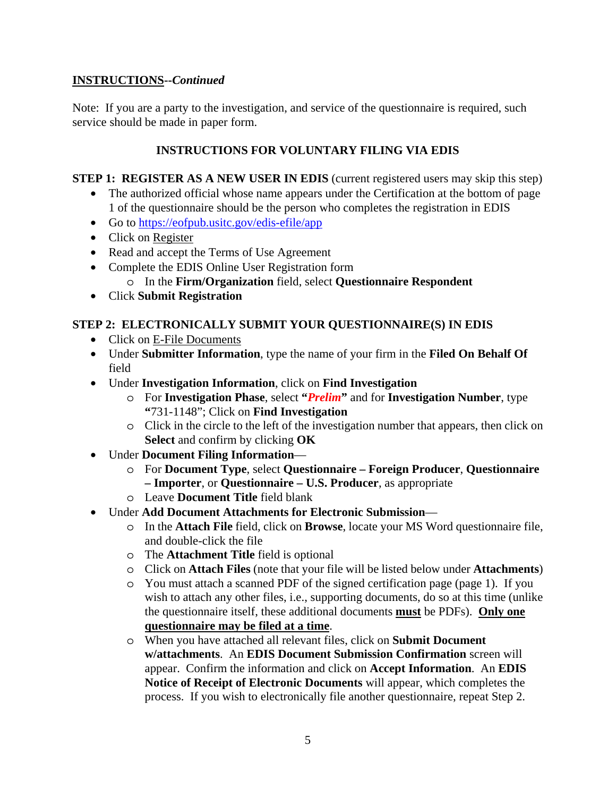# **INSTRUCTIONS--***Continued*

Note: If you are a party to the investigation, and service of the questionnaire is required, such service should be made in paper form.

# **INSTRUCTIONS FOR VOLUNTARY FILING VIA EDIS**

**STEP 1: REGISTER AS A NEW USER IN EDIS** (current registered users may skip this step)

- The authorized official whose name appears under the Certification at the bottom of page 1 of the questionnaire should be the person who completes the registration in EDIS
- Go to https://eofpub.usitc.gov/edis-efile/app
- Click on Register
- Read and accept the Terms of Use Agreement
- Complete the EDIS Online User Registration form
	- o In the **Firm/Organization** field, select **Questionnaire Respondent**
- Click **Submit Registration**

# **STEP 2: ELECTRONICALLY SUBMIT YOUR QUESTIONNAIRE(S) IN EDIS**

- Click on E-File Documents
- Under **Submitter Information**, type the name of your firm in the **Filed On Behalf Of** field
- Under **Investigation Information**, click on **Find Investigation**
	- o For **Investigation Phase**, select **"***Prelim***"** and for **Investigation Number**, type **"**731-1148"; Click on **Find Investigation**
	- o Click in the circle to the left of the investigation number that appears, then click on **Select** and confirm by clicking **OK**
- Under **Document Filing Information**
	- o For **Document Type**, select **Questionnaire Foreign Producer**, **Questionnaire – Importer**, or **Questionnaire – U.S. Producer**, as appropriate
	- o Leave **Document Title** field blank
- Under **Add Document Attachments for Electronic Submission**
	- o In the **Attach File** field, click on **Browse**, locate your MS Word questionnaire file, and double-click the file
	- o The **Attachment Title** field is optional
	- o Click on **Attach Files** (note that your file will be listed below under **Attachments**)
	- o You must attach a scanned PDF of the signed certification page (page 1). If you wish to attach any other files, i.e., supporting documents, do so at this time (unlike the questionnaire itself, these additional documents **must** be PDFs). **Only one questionnaire may be filed at a time**.
	- o When you have attached all relevant files, click on **Submit Document w/attachments**. An **EDIS Document Submission Confirmation** screen will appear. Confirm the information and click on **Accept Information**. An **EDIS Notice of Receipt of Electronic Documents** will appear, which completes the process. If you wish to electronically file another questionnaire, repeat Step 2.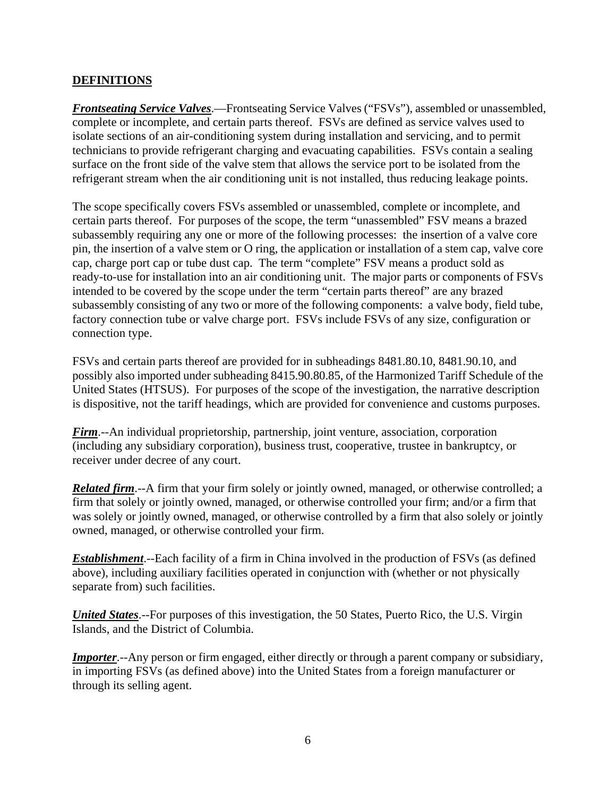# **DEFINITIONS**

*Frontseating Service Valves*.—Frontseating Service Valves ("FSVs"), assembled or unassembled, complete or incomplete, and certain parts thereof. FSVs are defined as service valves used to isolate sections of an air-conditioning system during installation and servicing, and to permit technicians to provide refrigerant charging and evacuating capabilities. FSVs contain a sealing surface on the front side of the valve stem that allows the service port to be isolated from the refrigerant stream when the air conditioning unit is not installed, thus reducing leakage points.

The scope specifically covers FSVs assembled or unassembled, complete or incomplete, and certain parts thereof. For purposes of the scope, the term "unassembled" FSV means a brazed subassembly requiring any one or more of the following processes: the insertion of a valve core pin, the insertion of a valve stem or O ring, the application or installation of a stem cap, valve core cap, charge port cap or tube dust cap. The term "complete" FSV means a product sold as ready-to-use for installation into an air conditioning unit. The major parts or components of FSVs intended to be covered by the scope under the term "certain parts thereof" are any brazed subassembly consisting of any two or more of the following components: a valve body, field tube, factory connection tube or valve charge port. FSVs include FSVs of any size, configuration or connection type.

FSVs and certain parts thereof are provided for in subheadings 8481.80.10, 8481.90.10, and possibly also imported under subheading 8415.90.80.85, of the Harmonized Tariff Schedule of the United States (HTSUS). For purposes of the scope of the investigation, the narrative description is dispositive, not the tariff headings, which are provided for convenience and customs purposes.

*Firm*.--An individual proprietorship, partnership, joint venture, association, corporation (including any subsidiary corporation), business trust, cooperative, trustee in bankruptcy, or receiver under decree of any court.

*Related firm*.--A firm that your firm solely or jointly owned, managed, or otherwise controlled; a firm that solely or jointly owned, managed, or otherwise controlled your firm; and/or a firm that was solely or jointly owned, managed, or otherwise controlled by a firm that also solely or jointly owned, managed, or otherwise controlled your firm.

*Establishment*.--Each facility of a firm in China involved in the production of FSVs (as defined above), including auxiliary facilities operated in conjunction with (whether or not physically separate from) such facilities.

*United States*.--For purposes of this investigation, the 50 States, Puerto Rico, the U.S. Virgin Islands, and the District of Columbia.

*Importer*.--Any person or firm engaged, either directly or through a parent company or subsidiary, in importing FSVs (as defined above) into the United States from a foreign manufacturer or through its selling agent.